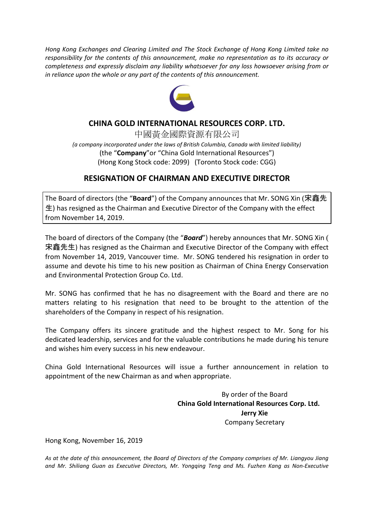*Hong Kong Exchanges and Clearing Limited and The Stock Exchange of Hong Kong Limited take no responsibility for the contents of this announcement, make no representation as to its accuracy or completeness and expressly disclaim any liability whatsoever for any loss howsoever arising from or in reliance upon the whole or any part of the contents of this announcement.*



## **CHINA GOLD INTERNATIONAL RESOURCES CORP. LTD.**

中國黃金國際資源有限公司 *(a company incorporated under the laws of British Columbia, Canada with limited liability)* (the "**Company**"or "China Gold International Resources") (Hong Kong Stock code: 2099) (Toronto Stock code: CGG)

## **RESIGNATION OF CHAIRMAN AND EXECUTIVE DIRECTOR**

The Board of directors (the "**Board**") of the Company announces that Mr. SONG Xin (宋鑫先 生) has resigned as the Chairman and Executive Director of the Company with the effect from November 14, 2019.

The board of directors of the Company (the "*Board*") hereby announces that Mr. SONG Xin ( 宋鑫先生) has resigned as the Chairman and Executive Director of the Company with effect from November 14, 2019, Vancouver time. Mr. SONG tendered his resignation in order to assume and devote his time to his new position as Chairman of China Energy Conservation and Environmental Protection Group Co. Ltd.

Mr. SONG has confirmed that he has no disagreement with the Board and there are no matters relating to his resignation that need to be brought to the attention of the shareholders of the Company in respect of his resignation.

The Company offers its sincere gratitude and the highest respect to Mr. Song for his dedicated leadership, services and for the valuable contributions he made during his tenure and wishes him every success in his new endeavour.

China Gold International Resources will issue a further announcement in relation to appointment of the new Chairman as and when appropriate.

> By order of the Board **China Gold International Resources Corp. Ltd. Jerry Xie** Company Secretary

Hong Kong, November 16, 2019

*As at the date of this announcement, the Board of Directors of the Company comprises of Mr. Liangyou Jiang and Mr. Shiliang Guan as Executive Directors, Mr. Yongqing Teng and Ms. Fuzhen Kang as Non-Executive*